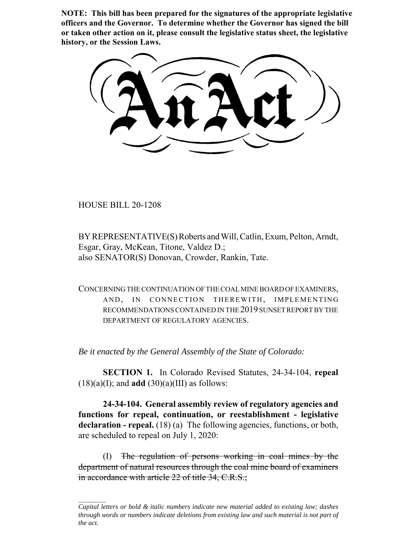**NOTE: This bill has been prepared for the signatures of the appropriate legislative officers and the Governor. To determine whether the Governor has signed the bill or taken other action on it, please consult the legislative status sheet, the legislative history, or the Session Laws.**

HOUSE BILL 20-1208

BY REPRESENTATIVE(S) Roberts and Will, Catlin, Exum, Pelton, Arndt, Esgar, Gray, McKean, Titone, Valdez D.; also SENATOR(S) Donovan, Crowder, Rankin, Tate.

CONCERNING THE CONTINUATION OF THE COAL MINE BOARD OF EXAMINERS, AND, IN CONNECTION THEREWITH, IMPLEMENTING RECOMMENDATIONS CONTAINED IN THE 2019 SUNSET REPORT BY THE DEPARTMENT OF REGULATORY AGENCIES.

*Be it enacted by the General Assembly of the State of Colorado:*

**SECTION 1.** In Colorado Revised Statutes, 24-34-104, **repeal**  $(18)(a)(I)$ ; and **add**  $(30)(a)(III)$  as follows:

**24-34-104. General assembly review of regulatory agencies and functions for repeal, continuation, or reestablishment - legislative** declaration - repeal. (18) (a) The following agencies, functions, or both, are scheduled to repeal on July 1, 2020:

(I) The regulation of persons working in coal mines by the department of natural resources through the coal mine board of examiners in accordance with article 22 of title 34, C.R.S.;

*Capital letters or bold & italic numbers indicate new material added to existing law; dashes through words or numbers indicate deletions from existing law and such material is not part of the act.*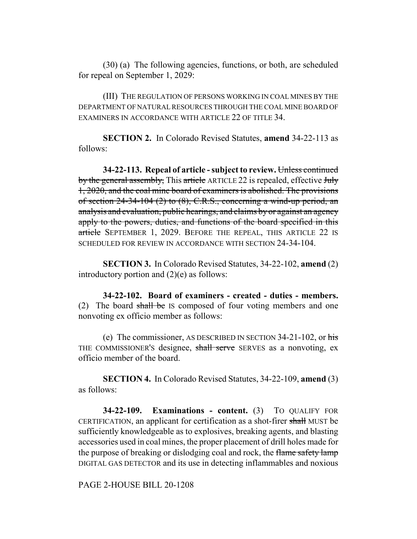(30) (a) The following agencies, functions, or both, are scheduled for repeal on September 1, 2029:

(III) THE REGULATION OF PERSONS WORKING IN COAL MINES BY THE DEPARTMENT OF NATURAL RESOURCES THROUGH THE COAL MINE BOARD OF EXAMINERS IN ACCORDANCE WITH ARTICLE 22 OF TITLE 34.

**SECTION 2.** In Colorado Revised Statutes, **amend** 34-22-113 as follows:

**34-22-113. Repeal of article - subject to review.** Unless continued by the general assembly, This article ARTICLE 22 is repealed, effective July 1, 2020, and the coal mine board of examiners is abolished. The provisions of section  $24-34-104$  (2) to (8), C.R.S., concerning a wind-up period, an analysis and evaluation, public hearings, and claims by or against an agency apply to the powers, duties, and functions of the board specified in this article SEPTEMBER 1, 2029. BEFORE THE REPEAL, THIS ARTICLE 22 IS SCHEDULED FOR REVIEW IN ACCORDANCE WITH SECTION 24-34-104.

**SECTION 3.** In Colorado Revised Statutes, 34-22-102, **amend** (2) introductory portion and (2)(e) as follows:

**34-22-102. Board of examiners - created - duties - members.** (2) The board shall be IS composed of four voting members and one nonvoting ex officio member as follows:

(e) The commissioner, AS DESCRIBED IN SECTION  $34-21-102$ , or his THE COMMISSIONER'S designee, shall serve SERVES as a nonvoting, exofficio member of the board.

**SECTION 4.** In Colorado Revised Statutes, 34-22-109, **amend** (3) as follows:

**34-22-109. Examinations - content.** (3) TO QUALIFY FOR CERTIFICATION, an applicant for certification as a shot-firer shall MUST be sufficiently knowledgeable as to explosives, breaking agents, and blasting accessories used in coal mines, the proper placement of drill holes made for the purpose of breaking or dislodging coal and rock, the flame safety lamp DIGITAL GAS DETECTOR and its use in detecting inflammables and noxious

PAGE 2-HOUSE BILL 20-1208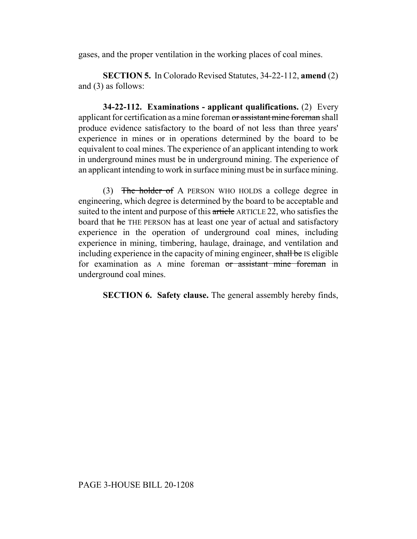gases, and the proper ventilation in the working places of coal mines.

**SECTION 5.** In Colorado Revised Statutes, 34-22-112, **amend** (2) and (3) as follows:

**34-22-112. Examinations - applicant qualifications.** (2) Every applicant for certification as a mine foreman or assistant mine foreman shall produce evidence satisfactory to the board of not less than three years' experience in mines or in operations determined by the board to be equivalent to coal mines. The experience of an applicant intending to work in underground mines must be in underground mining. The experience of an applicant intending to work in surface mining must be in surface mining.

(3) The holder of A PERSON WHO HOLDS a college degree in engineering, which degree is determined by the board to be acceptable and suited to the intent and purpose of this article ARTICLE 22, who satisfies the board that he THE PERSON has at least one year of actual and satisfactory experience in the operation of underground coal mines, including experience in mining, timbering, haulage, drainage, and ventilation and including experience in the capacity of mining engineer, shall be IS eligible for examination as A mine foreman or assistant mine foreman in underground coal mines.

**SECTION 6. Safety clause.** The general assembly hereby finds,